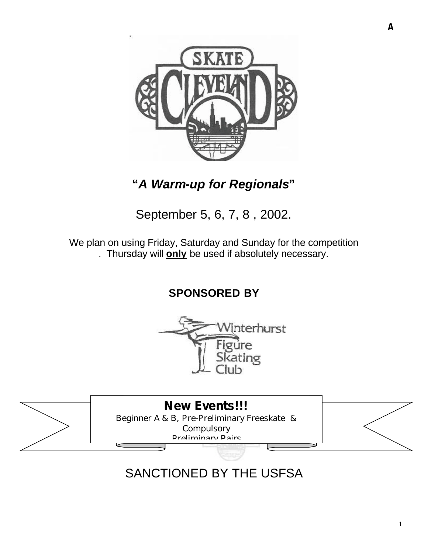

# **"***A Warm-up for Regionals***"**

# September 5, 6, 7, 8 , 2002.

We plan on using Friday, Saturday and Sunday for the competition . Thursday will **only** be used if absolutely necessary.

**SPONSORED BY**





# SANCTIONED BY THE USFSA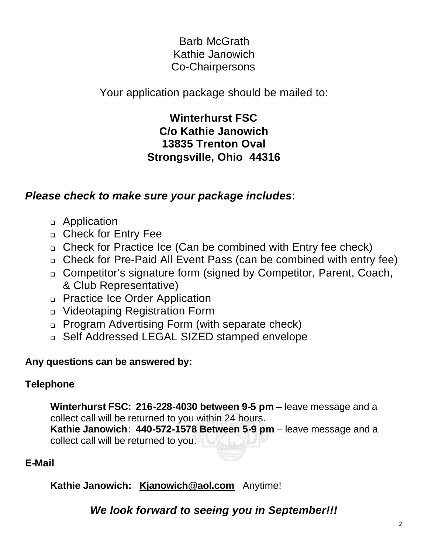# Barb McGrath Kathie Janowich Co-Chairpersons

Your application package should be mailed to:

**Winterhurst FSC C/o Kathie Janowich 13835 Trenton Oval Strongsville, Ohio 44316**

## *Please check to make sure your package includes*:

- <sup>q</sup> Application
- <sup>q</sup> Check for Entry Fee
- <sup>q</sup> Check for Practice Ice (Can be combined with Entry fee check)
- <sup>q</sup> Check for Pre-Paid All Event Pass (can be combined with entry fee)
- <sup>q</sup> Competitor's signature form (signed by Competitor, Parent, Coach, & Club Representative)
- <sup>q</sup> Practice Ice Order Application
- <sup>q</sup> Videotaping Registration Form
- <sup>q</sup> Program Advertising Form (with separate check)
- <sup>q</sup> Self Addressed LEGAL SIZED stamped envelope

## **Any questions can be answered by:**

## **Telephone**

**Winterhurst FSC: 216-228-4030 between 9-5 pm** – leave message and a collect call will be returned to you within 24 hours. **Kathie Janowich**: **440-572-1578 Between 5-9 pm** – leave message and a collect call will be returned to you.

## **E-Mail**

**Kathie Janowich: Kjanowich@aol.com** Anytime!

*We look forward to seeing you in September!!!*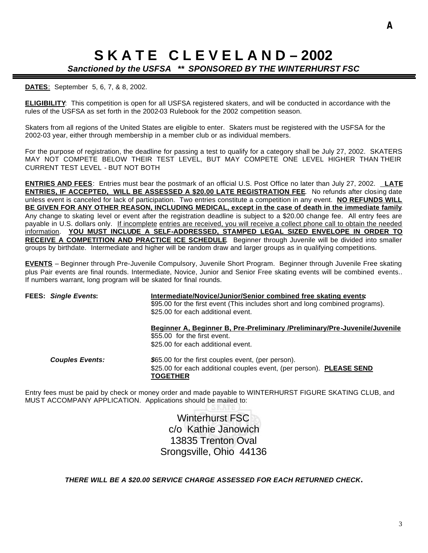# **S K A T E C L E V E L A N D – 2002**

### *Sanctioned by the USFSA \*\* SPONSORED BY THE WINTERHURST FSC*

#### **DATES**: September 5, 6, 7, & 8, 2002.

**ELIGIBILITY**: This competition is open for all USFSA registered skaters, and will be conducted in accordance with the rules of the USFSA as set forth in the 2002-03 Rulebook for the 2002 competition season.

Skaters from all regions of the United States are eligible to enter. Skaters must be registered with the USFSA for the 2002-03 year, either through membership in a member club or as individual members.

For the purpose of registration, the deadline for passing a test to qualify for a category shall be July 27, 2002. SKATERS MAY NOT COMPETE BELOW THEIR TEST LEVEL, BUT MAY COMPETE ONE LEVEL HIGHER THAN THEIR CURRENT TEST LEVEL - BUT NOT BOTH

**ENTRIES AND FEES**: Entries must bear the postmark of an official U.S. Post Office no later than July 27, 2002. **LATE ENTRIES, IF ACCEPTED, WILL BE ASSESSED A \$20.00 LATE REGISTRATION FEE**. No refunds after closing date unless event is canceled for lack of participation. Two entries constitute a competition in any event. **NO REFUNDS WILL BE GIVEN FOR ANY OTHER REASON, INCLUDING MEDICAL, except in the case of death in the immediate family**. Any change to skating level or event after the registration deadline is subject to a \$20.00 change fee. All entry fees are payable in U.S. dollars only. If incomplete entries are received, you will receive a collect phone call to obtain the needed information. **YOU MUST INCLUDE A SELF-ADDRESSED, STAMPED LEGAL SIZED ENVELOPE IN ORDER TO RECEIVE A COMPETITION AND PRACTICE ICE SCHEDULE**. Beginner through Juvenile will be divided into smaller groups by birthdate. Intermediate and higher will be random draw and larger groups as in qualifying competitions.

**EVENTS** – Beginner through Pre-Juvenile Compulsory, Juvenile Short Program. Beginner through Juvenile Free skating plus Pair events are final rounds. Intermediate, Novice, Junior and Senior Free skating events will be combined events.. If numbers warrant, long program will be skated for final rounds.

| <b>FEES: Single Events:</b> | Intermediate/Novice/Junior/Senior combined free skating events:<br>\$95.00 for the first event (This includes short and long combined programs).<br>\$25.00 for each additional event. |  |  |
|-----------------------------|----------------------------------------------------------------------------------------------------------------------------------------------------------------------------------------|--|--|
|                             | Beginner A, Beginner B, Pre-Preliminary /Preliminary/Pre-Juvenile/Juvenile<br>\$55.00 for the first event.<br>\$25,00 for each additional event.                                       |  |  |
| <b>Couples Events:</b>      | \$65.00 for the first couples event, (per person).<br>\$25.00 for each additional couples event, (per person). PLEASE SEND<br><b>TOGETHER</b>                                          |  |  |
|                             |                                                                                                                                                                                        |  |  |

Entry fees must be paid by check or money order and made payable to WINTERHURST FIGURE SKATING CLUB, and MUST ACCOMPANY APPLICATION. Applications should be mailed to:

> Winterhurst FSC c/o Kathie Janowich 13835 Trenton Oval Srongsville, Ohio 44136

*THERE WILL BE A \$20.00 SERVICE CHARGE ASSESSED FOR EACH RETURNED CHECK***.**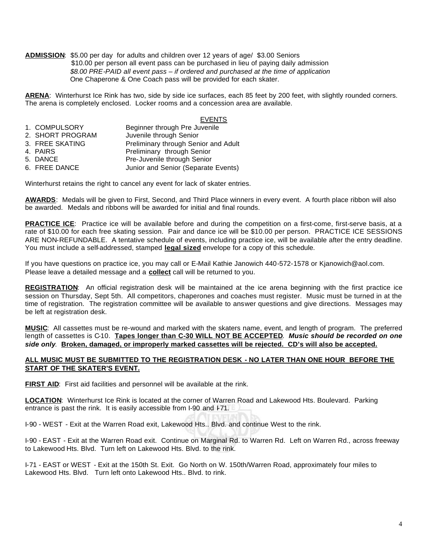**ADMISSION**: \$5.00 per day for adults and children over 12 years of age/ \$3.00 Seniors \$10.00 per person all event pass can be purchased in lieu of paying daily admission  *\$8.00 PRE-PAID all event pass – if ordered and purchased at the time of application* One Chaperone & One Coach pass will be provided for each skater.

**ARENA**: Winterhurst Ice Rink has two, side by side ice surfaces, each 85 feet by 200 feet, with slightly rounded corners. The arena is completely enclosed. Locker rooms and a concession area are available.

#### EVENTS

| 1. COMPULSORY    | Beginner through Pre Juvenile        |
|------------------|--------------------------------------|
| 2. SHORT PROGRAM | Juvenile through Senior              |
| 3. FREE SKATING  | Preliminary through Senior and Adult |
| 4. PAIRS         | Preliminary through Senior           |
| 5. DANCE         | Pre-Juvenile through Senior          |
| 6. FREE DANCE    | Junior and Senior (Separate Events)  |

Winterhurst retains the right to cancel any event for lack of skater entries.

**AWARDS**: Medals will be given to First, Second, and Third Place winners in every event. A fourth place ribbon will also be awarded. Medals and ribbons will be awarded for initial and final rounds.

**PRACTICE ICE:** Practice ice will be available before and during the competition on a first-come, first-serve basis, at a rate of \$10.00 for each free skating session. Pair and dance ice will be \$10.00 per person. PRACTICE ICE SESSIONS ARE NON-REFUNDABLE. A tentative schedule of events, including practice ice, will be available after the entry deadline. You must include a self-addressed, stamped **legal sized** envelope for a copy of this schedule.

If you have questions on practice ice, you may call or E-Mail Kathie Janowich 440-572-1578 or Kjanowich@aol.com. Please leave a detailed message and a **collect** call will be returned to you.

**REGISTRATION**: An official registration desk will be maintained at the ice arena beginning with the first practice ice session on Thursday, Sept 5th. All competitors, chaperones and coaches must register. Music must be turned in at the time of registration. The registration committee will be available to answer questions and give directions. Messages may be left at registration desk.

**MUSIC**: All cassettes must be re-wound and marked with the skaters name, event, and length of program. The preferred length of cassettes is C-10. **Tapes longer than C-30 WILL NOT BE ACCEPTED**. *Music should be recorded on one side only*. **Broken, damaged, or improperly marked cassettes will be rejected. CD's will also be accepted.**

#### **ALL MUSIC MUST BE SUBMITTED TO THE REGISTRATION DESK - NO LATER THAN ONE HOUR BEFORE THE START OF THE SKATER'S EVENT.**

FIRST AID: First aid facilities and personnel will be available at the rink.

**LOCATION**: Winterhurst Ice Rink is located at the corner of Warren Road and Lakewood Hts. Boulevard. Parking entrance is past the rink. It is easily accessible from I-90 and F71.

I-90 - WEST - Exit at the Warren Road exit, Lakewood Hts.. Blvd. and continue West to the rink.

I-90 - EAST - Exit at the Warren Road exit. Continue on Marginal Rd. to Warren Rd. Left on Warren Rd., across freeway to Lakewood Hts. Blvd. Turn left on Lakewood Hts. Blvd. to the rink.

I-71 - EAST or WEST - Exit at the 150th St. Exit. Go North on W. 150th/Warren Road, approximately four miles to Lakewood Hts. Blvd. Turn left onto Lakewood Hts.. Blvd. to rink.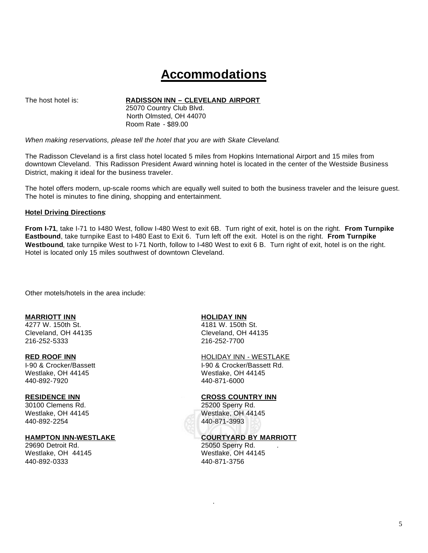# **Accommodations**

The host hotel is: **RADISSON INN – CLEVELAND AIRPORT**

 25070 Country Club Blvd. North Olmsted, OH 44070 Room Rate - \$89.00

*When making reservations, please tell the hotel that you are with Skate Cleveland*.

The Radisson Cleveland is a first class hotel located 5 miles from Hopkins International Airport and 15 miles from downtown Cleveland. This Radisson President Award winning hotel is located in the center of the Westside Business District, making it ideal for the business traveler.

The hotel offers modern, up-scale rooms which are equally well suited to both the business traveler and the leisure guest. The hotel is minutes to fine dining, shopping and entertainment.

#### **Hotel Driving Directions**:

**From I-71**, take I-71 to I-480 West, follow I-480 West to exit 6B. Turn right of exit, hotel is on the right. **From Turnpike Eastbound**, take turnpike East to I-480 East to Exit 6. Turn left off the exit. Hotel is on the right. **From Turnpike**  Westbound, take turnpike West to I-71 North, follow to I-480 West to exit 6 B. Turn right of exit, hotel is on the right. Hotel is located only 15 miles southwest of downtown Cleveland.

Other motels/hotels in the area include:

#### **MARRIOTT INN HOLIDAY INN**

4277 W. 150th St. 4181 W. 150th St. Cleveland, OH 44135 Cleveland, OH 44135 216-252-5333 216-252-7700

I-90 & Crocker/Bassett I-90 & Crocker/Bassett Rd. Westlake, OH 44145 Westlake, OH 44145 440-892-7920 440-871-6000

30100 Clemens Rd. 25200 Sperry Rd. Westlake, OH 44145 Westlake, OH 44145 440-892-2254 440-871-3993

Westlake, OH 44145 440-892-0333 440-871-3756

#### **RED ROOF INN** HOLIDAY INN - WESTLAKE

#### **RESIDENCE INN CROSS COUNTRY INN**

# **HAMPTON INN-WESTLAKE**<br>
29690 Detroit Rd. 25050 Sperry Rd.

25050 Sperry Rd.<br>Westlake, OH 44145

.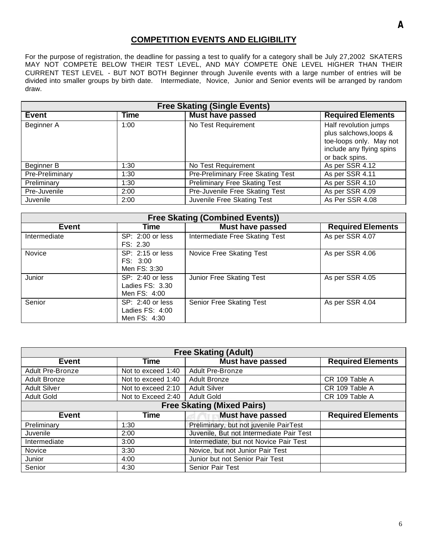### **COMPETITION EVENTS AND ELIGIBILITY**

For the purpose of registration, the deadline for passing a test to qualify for a category shall be July 27,2002 SKATERS MAY NOT COMPETE BELOW THEIR TEST LEVEL, AND MAY COMPETE ONE LEVEL HIGHER THAN THEIR CURRENT TEST LEVEL - BUT NOT BOTH Beginner through Juvenile events with a large number of entries will be divided into smaller groups by birth date. Intermediate, Novice, Junior and Senior events will be arranged by random draw.

| <b>Free Skating (Single Events)</b>                                                |      |                                |                                                                                                                          |  |  |
|------------------------------------------------------------------------------------|------|--------------------------------|--------------------------------------------------------------------------------------------------------------------------|--|--|
| <b>Must have passed</b><br><b>Time</b><br><b>Required Elements</b><br><b>Event</b> |      |                                |                                                                                                                          |  |  |
| Beginner A                                                                         | 1:00 | No Test Requirement            | Half revolution jumps<br>plus salchows, loops &<br>toe-loops only. May not<br>include any flying spins<br>or back spins. |  |  |
| No Test Requirement<br>Beginner B<br>1:30                                          |      | As per SSR 4.12                |                                                                                                                          |  |  |
| Pre-Preliminary Free Skating Test<br>Pre-Preliminary<br>1:30                       |      | As per SSR 4.11                |                                                                                                                          |  |  |
| <b>Preliminary Free Skating Test</b><br>Preliminary<br>1:30                        |      | As per SSR 4.10                |                                                                                                                          |  |  |
| Pre-Juvenile                                                                       | 2:00 | Pre-Juvenile Free Skating Test | As per SSR 4.09                                                                                                          |  |  |
| Juvenile Free Skating Test<br>As Per SSR 4.08<br>Juvenile<br>2:00                  |      |                                |                                                                                                                          |  |  |

| <b>Free Skating (Combined Events))</b>                               |                                                       |                                |                 |  |  |
|----------------------------------------------------------------------|-------------------------------------------------------|--------------------------------|-----------------|--|--|
| <b>Required Elements</b><br><b>Must have passed</b><br>Event<br>Time |                                                       |                                |                 |  |  |
| Intermediate                                                         | SP: 2:00 or less<br>FS: 2.30                          | Intermediate Free Skating Test | As per SSR 4.07 |  |  |
| Novice                                                               | SP: 2:15 or less<br>FS: 3:00<br>Men FS: 3:30          | Novice Free Skating Test       | As per SSR 4.06 |  |  |
| Junior                                                               | SP: 2:40 or less<br>Ladies $FS: 3.30$<br>Men FS: 4:00 | Junior Free Skating Test       | As per SSR 4.05 |  |  |
| Senior                                                               | SP: 2:40 or less<br>Ladies $FS: 4:00$<br>Men FS: 4:30 | Senior Free Skating Test       | As per SSR 4.04 |  |  |

| <b>Free Skating (Adult)</b>                                                        |                                 |                                   |                |  |  |
|------------------------------------------------------------------------------------|---------------------------------|-----------------------------------|----------------|--|--|
| <b>Required Elements</b><br><b>Time</b><br><b>Must have passed</b><br><b>Event</b> |                                 |                                   |                |  |  |
| Adult Pre-Bronze<br><b>Adult Pre-Bronze</b><br>Not to exceed 1:40                  |                                 |                                   |                |  |  |
| <b>Adult Bronze</b>                                                                | Not to exceed 1:40              | Adult Bronze                      | CR 109 Table A |  |  |
| <b>Adult Silver</b>                                                                | Not to exceed 2:10              | <b>Adult Silver</b>               | CR 109 Table A |  |  |
| <b>Adult Gold</b>                                                                  | Not to Exceed 2:40              | <b>Adult Gold</b>                 | CR 109 Table A |  |  |
|                                                                                    |                                 | <b>Free Skating (Mixed Pairs)</b> |                |  |  |
| Time<br><b>Must have passed</b><br><b>Required Elements</b><br><b>Event</b>        |                                 |                                   |                |  |  |
| Preliminary, but not juvenile PairTest<br>Preliminary<br>1:30                      |                                 |                                   |                |  |  |
| Juvenile, But not Intermediate Pair Test<br>Juvenile<br>2:00                       |                                 |                                   |                |  |  |
| Intermediate, but not Novice Pair Test<br>Intermediate<br>3:00                     |                                 |                                   |                |  |  |
| Novice<br>Novice, but not Junior Pair Test<br>3:30                                 |                                 |                                   |                |  |  |
| Junior                                                                             | 4:00                            | Junior but not Senior Pair Test   |                |  |  |
| Senior                                                                             | <b>Senior Pair Test</b><br>4:30 |                                   |                |  |  |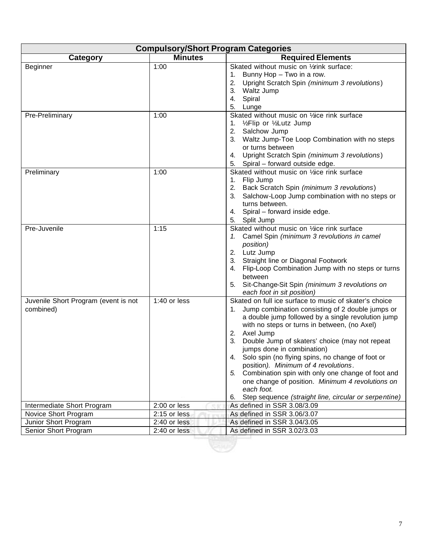| <b>Compulsory/Short Program Categories</b>        |                |                                                                                                                                                                                                                                                                                                                                                                                                                                                                                                                                                                                                                            |  |  |  |
|---------------------------------------------------|----------------|----------------------------------------------------------------------------------------------------------------------------------------------------------------------------------------------------------------------------------------------------------------------------------------------------------------------------------------------------------------------------------------------------------------------------------------------------------------------------------------------------------------------------------------------------------------------------------------------------------------------------|--|--|--|
| Category                                          | <b>Minutes</b> | <b>Required Elements</b>                                                                                                                                                                                                                                                                                                                                                                                                                                                                                                                                                                                                   |  |  |  |
| Beginner<br>Pre-Preliminary                       | 1:00<br>1:00   | Skated without music on 1/2rink surface:<br>Bunny Hop - Two in a row.<br>1.<br>Upright Scratch Spin (minimum 3 revolutions)<br>2.<br>3.<br>Waltz Jump<br>Spiral<br>4.<br>5. Lunge<br>Skated without music on 1/ace rink surface<br>1. 1/ <sub>2</sub> Flip or 1/ <sub>2</sub> Lutz Jump                                                                                                                                                                                                                                                                                                                                    |  |  |  |
|                                                   |                | 2. Salchow Jump<br>3. Waltz Jump-Toe Loop Combination with no steps<br>or turns between<br>Upright Scratch Spin (minimum 3 revolutions)<br>4.<br>Spiral - forward outside edge.<br>5.                                                                                                                                                                                                                                                                                                                                                                                                                                      |  |  |  |
| Preliminary                                       | 1:00           | Skated without music on 1/ace rink surface<br>Flip Jump<br>1.<br>Back Scratch Spin (minimum 3 revolutions)<br>2.<br>Salchow-Loop Jump combination with no steps or<br>3.<br>turns between.<br>4. Spiral - forward inside edge.<br>5. Split Jump                                                                                                                                                                                                                                                                                                                                                                            |  |  |  |
| Pre-Juvenile                                      | 1:15           | Skated without music on 1/ace rink surface<br>Camel Spin (minimum 3 revolutions in camel<br>position)<br>2. Lutz Jump<br>Straight line or Diagonal Footwork<br>3.<br>Flip-Loop Combination Jump with no steps or turns<br>4.<br>between<br>Sit-Change-Sit Spin (minimum 3 revolutions on<br>5.<br>each foot in sit position)                                                                                                                                                                                                                                                                                               |  |  |  |
| Juvenile Short Program (event is not<br>combined) | 1:40 or less   | Skated on full ice surface to music of skater's choice<br>Jump combination consisting of 2 double jumps or<br>1.<br>a double jump followed by a single revolution jump<br>with no steps or turns in between, (no Axel)<br>Axel Jump<br>2.<br>Double Jump of skaters' choice (may not repeat<br>3.<br>jumps done in combination)<br>4. Solo spin (no flying spins, no change of foot or<br>position). Minimum of 4 revolutions.<br>Combination spin with only one change of foot and<br>5.<br>one change of position. Minimum 4 revolutions on<br>each foot.<br>Step sequence (straight line, circular or serpentine)<br>6. |  |  |  |
| Intermediate Short Program                        | 2:00 or less   | As defined in SSR 3.08/3.09                                                                                                                                                                                                                                                                                                                                                                                                                                                                                                                                                                                                |  |  |  |
| Novice Short Program                              | 2:15 or less   | As defined in SSR 3.06/3.07                                                                                                                                                                                                                                                                                                                                                                                                                                                                                                                                                                                                |  |  |  |
| Junior Short Program                              | 2:40 or less   | As defined in SSR 3.04/3.05                                                                                                                                                                                                                                                                                                                                                                                                                                                                                                                                                                                                |  |  |  |
| Senior Short Program                              | 2:40 or less   | As defined in SSR 3.02/3.03                                                                                                                                                                                                                                                                                                                                                                                                                                                                                                                                                                                                |  |  |  |
|                                                   |                |                                                                                                                                                                                                                                                                                                                                                                                                                                                                                                                                                                                                                            |  |  |  |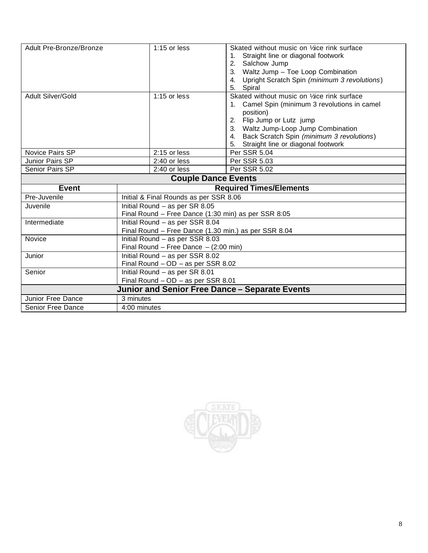| Adult Pre-Bronze/Bronze                       | $1:15$ or less                                       | Skated without music on 1/ace rink surface<br>Straight line or diagonal footwork<br>1.<br>Salchow Jump<br>2.<br>Waltz Jump - Toe Loop Combination<br>3.<br>Upright Scratch Spin (minimum 3 revolutions)<br>4.<br>Spiral<br>5.                                                     |
|-----------------------------------------------|------------------------------------------------------|-----------------------------------------------------------------------------------------------------------------------------------------------------------------------------------------------------------------------------------------------------------------------------------|
| <b>Adult Silver/Gold</b>                      | 1:15 or less                                         | Skated without music on '/ace rink surface<br>Camel Spin (minimum 3 revolutions in camel<br>1.<br>position)<br>Flip Jump or Lutz jump<br>2.<br>3. Waltz Jump-Loop Jump Combination<br>Back Scratch Spin (minimum 3 revolutions)<br>4.<br>Straight line or diagonal footwork<br>5. |
| Novice Pairs SP                               | 2:15 or less                                         | Per SSR 5.04                                                                                                                                                                                                                                                                      |
| Junior Pairs SP                               | 2:40 or less                                         | Per SSR 5.03                                                                                                                                                                                                                                                                      |
| Senior Pairs SP                               | 2:40 or less                                         | Per SSR 5.02                                                                                                                                                                                                                                                                      |
| <b>Couple Dance Events</b>                    |                                                      |                                                                                                                                                                                                                                                                                   |
| <b>Event</b>                                  |                                                      | <b>Required Times/Elements</b>                                                                                                                                                                                                                                                    |
| Pre-Juvenile                                  | Initial & Final Rounds as per SSR 8.06               |                                                                                                                                                                                                                                                                                   |
| Juvenile                                      | Initial Round - as per SR 8.05                       |                                                                                                                                                                                                                                                                                   |
|                                               | Final Round - Free Dance (1:30 min) as per SSR 8:05  |                                                                                                                                                                                                                                                                                   |
| Intermediate                                  | Initial Round - as per SSR 8.04                      |                                                                                                                                                                                                                                                                                   |
|                                               | Final Round - Free Dance (1.30 min.) as per SSR 8.04 |                                                                                                                                                                                                                                                                                   |
| Novice                                        | Initial Round - as per SSR 8.03                      |                                                                                                                                                                                                                                                                                   |
|                                               | Final Round - Free Dance $-$ (2:00 min)              |                                                                                                                                                                                                                                                                                   |
| Junior                                        | Initial Round - as per SSR 8.02                      |                                                                                                                                                                                                                                                                                   |
|                                               | Final Round - OD - as per SSR 8.02                   |                                                                                                                                                                                                                                                                                   |
| Senior                                        | Initial Round - as per SR 8.01                       |                                                                                                                                                                                                                                                                                   |
|                                               | Final Round - OD - as per SSR 8.01                   |                                                                                                                                                                                                                                                                                   |
|                                               |                                                      | Junior and Senior Free Dance - Separate Events                                                                                                                                                                                                                                    |
| Junior Free Dance<br><b>Senior Free Dance</b> | 3 minutes<br>4:00 minutes                            |                                                                                                                                                                                                                                                                                   |

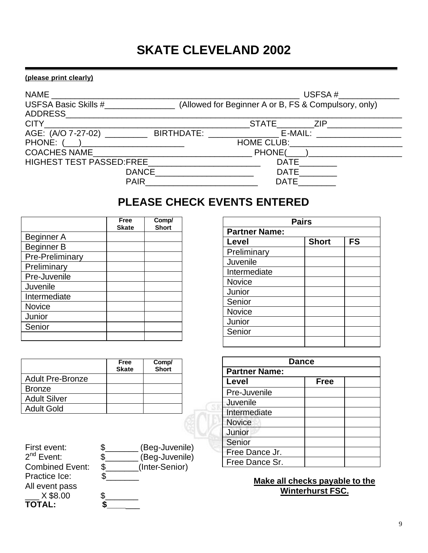# **SKATE CLEVELAND 2002**

#### **(please print clearly)**

| <b>NAME</b>                                                                                                   |              | USFSA $\#$                                           |  |
|---------------------------------------------------------------------------------------------------------------|--------------|------------------------------------------------------|--|
| USFSA Basic Skills #<br>ADDRESS                                                                               |              | (Allowed for Beginner A or B, FS & Compulsory, only) |  |
| CITY 2008 2012 2013 2014 2015 2016 2017 2018 2019 2017 2018 2019 2019 2019 2017 2018 2019 2019 2019 2017 2018 |              | STATE ZIP                                            |  |
|                                                                                                               |              | E-MAIL: _____________________                        |  |
| PHONE: (___)_________________________                                                                         |              |                                                      |  |
| <b>COACHES NAME</b>                                                                                           |              | PHONE( )                                             |  |
| HIGHEST TEST PASSED:FREE                                                                                      |              | <b>DATE</b>                                          |  |
|                                                                                                               | <b>DANCE</b> | <b>DATE</b>                                          |  |
|                                                                                                               | <b>PAIR</b>  | <b>DATE</b>                                          |  |

# **PLEASE CHECK EVENTS ENTERED**

|                   | Free<br><b>Skate</b> | Comp/<br><b>Short</b> |
|-------------------|----------------------|-----------------------|
| Beginner A        |                      |                       |
| <b>Beginner B</b> |                      |                       |
| Pre-Preliminary   |                      |                       |
| Preliminary       |                      |                       |
| Pre-Juvenile      |                      |                       |
| Juvenile          |                      |                       |
| Intermediate      |                      |                       |
| Novice            |                      |                       |
| Junior            |                      |                       |
| Senior            |                      |                       |
|                   |                      |                       |

|                         | Free<br><b>Skate</b> | Comp/<br><b>Short</b> |
|-------------------------|----------------------|-----------------------|
| <b>Adult Pre-Bronze</b> |                      |                       |
| <b>Bronze</b>           |                      |                       |
| <b>Adult Silver</b>     |                      |                       |
| <b>Adult Gold</b>       |                      |                       |

| First event:           | (Beg-Juvenile)       |
|------------------------|----------------------|
| $2^{nd}$ Event:        | (Beg-Juvenile)       |
| <b>Combined Event:</b> | \$<br>(Inter-Senior) |
| Practice Ice:          |                      |
| All event pass         |                      |
| X \$8.00               |                      |
| <b>TOTAL:</b>          |                      |

| <b>Pairs</b>         |              |           |  |  |  |
|----------------------|--------------|-----------|--|--|--|
| <b>Partner Name:</b> |              |           |  |  |  |
| Level                | <b>Short</b> | <b>FS</b> |  |  |  |
| Preliminary          |              |           |  |  |  |
| Juvenile             |              |           |  |  |  |
| Intermediate         |              |           |  |  |  |
| Novice               |              |           |  |  |  |
| Junior               |              |           |  |  |  |
| Senior               |              |           |  |  |  |
| Novice               |              |           |  |  |  |
| Junior               |              |           |  |  |  |
| Senior               |              |           |  |  |  |
|                      |              |           |  |  |  |

| <b>Dance</b>         |             |  |  |
|----------------------|-------------|--|--|
| <b>Partner Name:</b> |             |  |  |
| Level                | <b>Free</b> |  |  |
| Pre-Juvenile         |             |  |  |
| Juvenile             |             |  |  |
| Intermediate         |             |  |  |
| <b>Novice</b>        |             |  |  |
| Junior               |             |  |  |
| Senior               |             |  |  |
| Free Dance Jr.       |             |  |  |
| Free Dance Sr.       |             |  |  |

**Make all checks payable to the Winterhurst FSC.**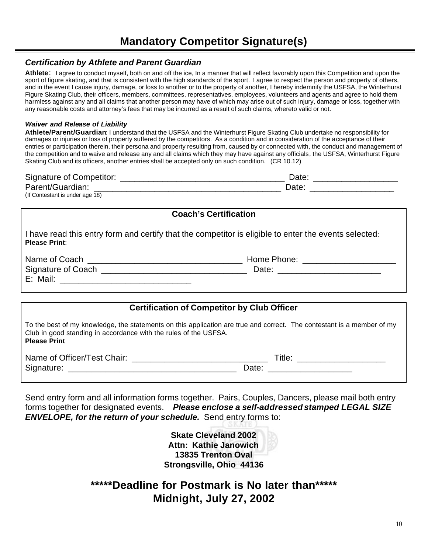#### *Certification by Athlete and Parent Guardian*

**Athlete**: I agree to conduct myself, both on and off the ice, In a manner that will reflect favorably upon this Competition and upon the sport of figure skating, and that is consistent with the high standards of the sport. I agree to respect the person and property of others, and in the event I cause injury, damage, or loss to another or to the property of another, I hereby indemnify the USFSA, the Winterhurst Figure Skating Club, their officers, members, committees, representatives, employees, volunteers and agents and agree to hold them harmless against any and all claims that another person may have of which may arise out of such injury, damage or loss, together with any reasonable costs and attorney's fees that may be incurred as a result of such claims, whereto valid or not.

#### *Waiver and Release of Liability*

**Athlete/Parent/Guardian**: I understand that the USFSA and the Winterhurst Figure Skating Club undertake no responsibility for damages or injuries or loss of property suffered by the competitors. As a condition and in consideration of the acceptance of their entries or participation therein, their persona and property resulting from, caused by or connected with, the conduct and management of the competition and to waive and release any and all claims which they may have against any officials, the USFSA, Winterhurst Figure Skating Club and its officers, another entries shall be accepted only on such condition. (CR 10.12)

| Signature of Competitor:        | ⊃ate: |
|---------------------------------|-------|
| Parent/Guardian:                | Date  |
| (If Contestant is under age 18) |       |

| <b>Coach's Certification</b>                                                                                                  |                                    |  |  |  |
|-------------------------------------------------------------------------------------------------------------------------------|------------------------------------|--|--|--|
| I have read this entry form and certify that the competitor is eligible to enter the events selected:<br><b>Please Print:</b> |                                    |  |  |  |
|                                                                                                                               | Home Phone: ______________________ |  |  |  |
| Signature of Coach entries and the Signature of Coach                                                                         |                                    |  |  |  |

|                                                                                                                                                                                                                   | <b>Certification of Competitor by Club Officer</b> |  |  |  |
|-------------------------------------------------------------------------------------------------------------------------------------------------------------------------------------------------------------------|----------------------------------------------------|--|--|--|
|                                                                                                                                                                                                                   |                                                    |  |  |  |
| To the best of my knowledge, the statements on this application are true and correct. The contestant is a member of my<br>Club in good standing in accordance with the rules of the USFSA.<br><b>Please Print</b> |                                                    |  |  |  |
| Name of Officer/Test Chair: 2008. [2010] Name of Officer/Test Chair:                                                                                                                                              | Title: _____________________                       |  |  |  |
|                                                                                                                                                                                                                   | Date: <u>______________</u>                        |  |  |  |
|                                                                                                                                                                                                                   |                                                    |  |  |  |

Send entry form and all information forms together. Pairs, Couples, Dancers, please mail both entry forms together for designated events. *Please enclose a self-addressed stamped LEGAL SIZE ENVELOPE, for the return of your schedule.* Send entry forms to:

> **Skate Cleveland 2002 Attn: Kathie Janowich 13835 Trenton Oval Strongsville, Ohio 44136**

## **\*\*\*\*\*Deadline for Postmark is No later than\*\*\*\*\* Midnight, July 27, 2002**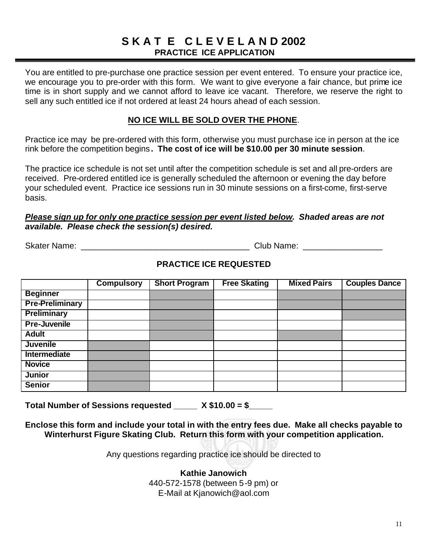## **S K A T E C L E V E L A N D 2002 PRACTICE ICE APPLICATION**

You are entitled to pre-purchase one practice session per event entered. To ensure your practice ice, we encourage you to pre-order with this form. We want to give everyone a fair chance, but prime ice time is in short supply and we cannot afford to leave ice vacant. Therefore, we reserve the right to sell any such entitled ice if not ordered at least 24 hours ahead of each session.

### **NO ICE WILL BE SOLD OVER THE PHONE**.

Practice ice may be pre-ordered with this form, otherwise you must purchase ice in person at the ice rink before the competition begins**. The cost of ice will be \$10.00 per 30 minute session**.

The practice ice schedule is not set until after the competition schedule is set and all pre-orders are received. Pre-ordered entitled ice is generally scheduled the afternoon or evening the day before your scheduled event. Practice ice sessions run in 30 minute sessions on a first-come, first-serve basis.

#### *Please sign up for only one practice session per event listed below. Shaded areas are not available. Please check the session(s) desired.*

Skater Name: \_\_\_\_\_\_\_\_\_\_\_\_\_\_\_\_\_\_\_\_\_\_\_\_\_\_\_\_\_\_\_\_\_\_\_\_ Club Name: \_\_\_\_\_\_\_\_\_\_\_\_\_\_\_\_\_

### **PRACTICE ICE REQUESTED**

|                        | <b>Compulsory</b> | <b>Short Program</b> | <b>Free Skating</b> | <b>Mixed Pairs</b> | <b>Couples Dance</b> |
|------------------------|-------------------|----------------------|---------------------|--------------------|----------------------|
| <b>Beginner</b>        |                   |                      |                     |                    |                      |
| <b>Pre-Preliminary</b> |                   |                      |                     |                    |                      |
| Preliminary            |                   |                      |                     |                    |                      |
| <b>Pre-Juvenile</b>    |                   |                      |                     |                    |                      |
| <b>Adult</b>           |                   |                      |                     |                    |                      |
| <b>Juvenile</b>        |                   |                      |                     |                    |                      |
| Intermediate           |                   |                      |                     |                    |                      |
| <b>Novice</b>          |                   |                      |                     |                    |                      |
| <b>Junior</b>          |                   |                      |                     |                    |                      |
| <b>Senior</b>          |                   |                      |                     |                    |                      |

**Total Number of Sessions requested \_\_\_\_\_ X \$10.00 = \$\_\_\_\_\_**

**Enclose this form and include your total in with the entry fees due. Make all checks payable to Winterhurst Figure Skating Club. Return this form with your competition application.**

Any questions regarding practice ice should be directed to

**Kathie Janowich** 440-572-1578 (between 5-9 pm) or E-Mail at Kjanowich@aol.com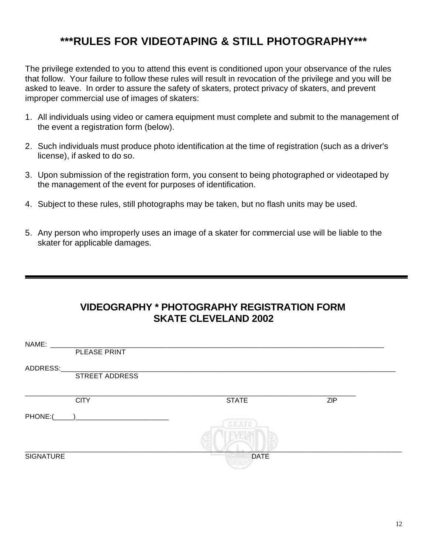# **\*\*\*RULES FOR VIDEOTAPING & STILL PHOTOGRAPHY\*\*\***

The privilege extended to you to attend this event is conditioned upon your observance of the rules that follow. Your failure to follow these rules will result in revocation of the privilege and you will be asked to leave. In order to assure the safety of skaters, protect privacy of skaters, and prevent improper commercial use of images of skaters:

- 1. All individuals using video or camera equipment must complete and submit to the management of the event a registration form (below).
- 2. Such individuals must produce photo identification at the time of registration (such as a driver's license), if asked to do so.
- 3. Upon submission of the registration form, you consent to being photographed or videotaped by the management of the event for purposes of identification.
- 4. Subject to these rules, still photographs may be taken, but no flash units may be used.
- 5. Any person who improperly uses an image of a skater for commercial use will be liable to the skater for applicable damages.

## **VIDEOGRAPHY \* PHOTOGRAPHY REGISTRATION FORM SKATE CLEVELAND 2002**

| NAME:            |                |              |            |  |
|------------------|----------------|--------------|------------|--|
|                  | PLEASE PRINT   |              |            |  |
| ADDRESS:         |                |              |            |  |
|                  | STREET ADDRESS |              |            |  |
|                  |                |              |            |  |
|                  | <b>CITY</b>    | <b>STATE</b> | <b>ZIP</b> |  |
| PHONE:(          |                |              |            |  |
|                  |                |              |            |  |
|                  |                |              |            |  |
| <b>SIGNATURE</b> |                | <b>DATE</b>  |            |  |
|                  |                |              |            |  |